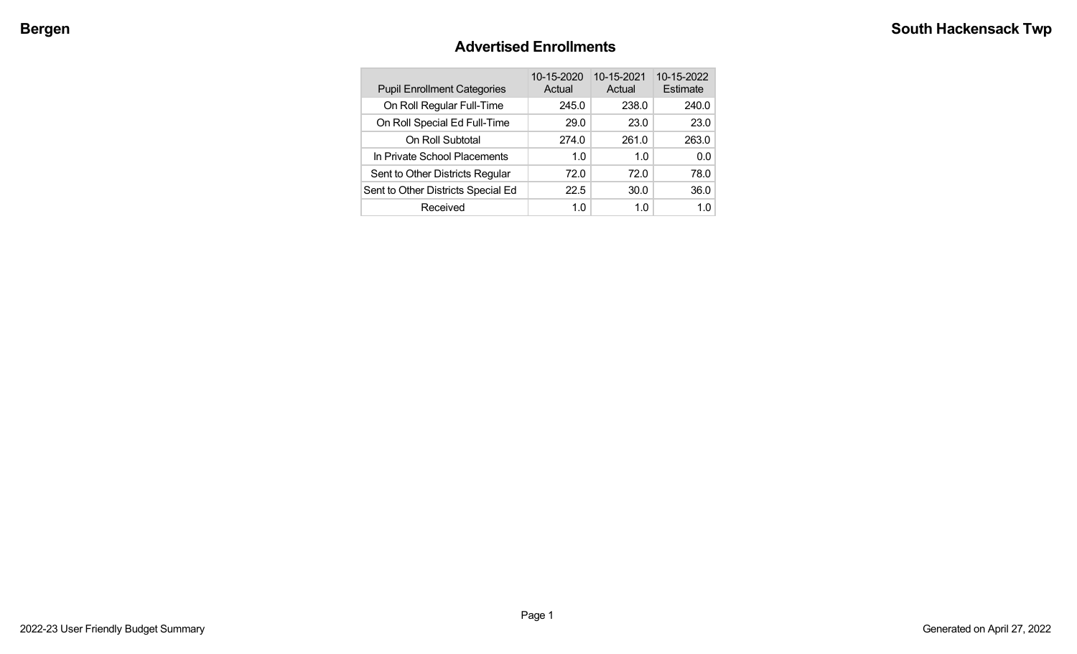## **Advertised Enrollments**

| <b>Pupil Enrollment Categories</b> | 10-15-2020<br>Actual | 10-15-2021<br>Actual | 10-15-2022<br>Estimate |
|------------------------------------|----------------------|----------------------|------------------------|
| On Roll Regular Full-Time          | 245.0                | 238.0                | 240.0                  |
| On Roll Special Ed Full-Time       | 29.0                 | 23.0                 | 23.0                   |
| On Roll Subtotal                   | 274.0                | 261.0                | 263.0                  |
| In Private School Placements       | 1.0                  | 1.0                  | 0.0                    |
| Sent to Other Districts Regular    | 72.0                 | 72.0                 | 78.0                   |
| Sent to Other Districts Special Ed | 22.5                 | 30.0                 | 36.0                   |
| Received                           | 1.0                  | 1.0                  | 1 በ                    |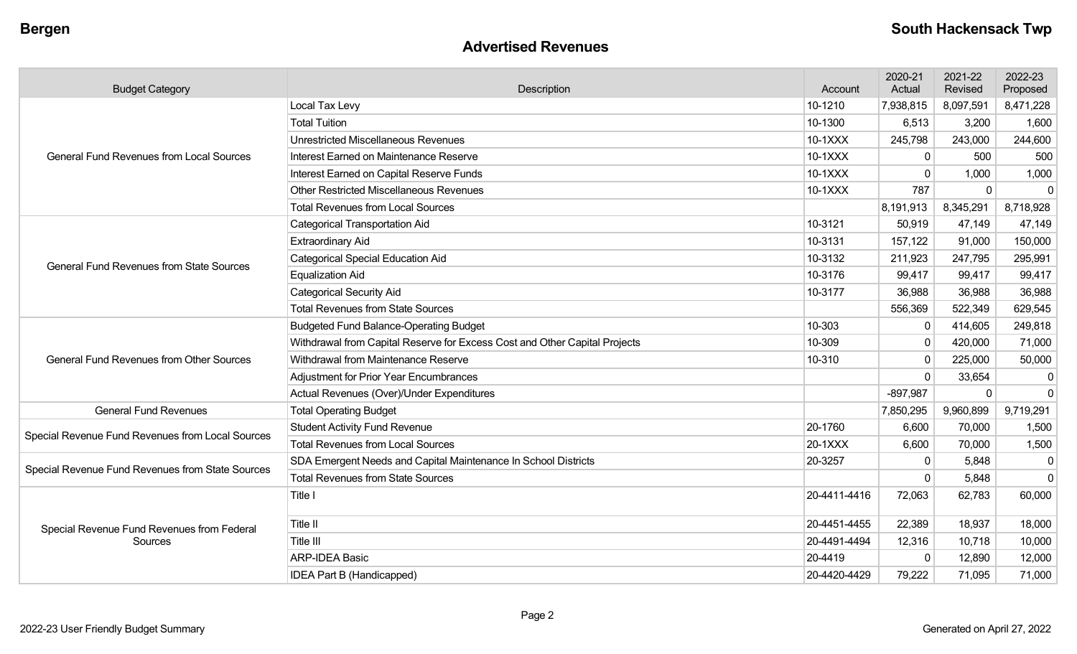## **Advertised Revenues**

| <b>Budget Category</b>                           | Description                                                                | Account      | 2020-21<br>Actual | 2021-22<br>Revised | 2022-23<br>Proposed |
|--------------------------------------------------|----------------------------------------------------------------------------|--------------|-------------------|--------------------|---------------------|
|                                                  | Local Tax Levy                                                             | 10-1210      | 7,938,815         | 8,097,591          | 8,471,228           |
|                                                  | <b>Total Tuition</b>                                                       | 10-1300      | 6,513             | 3,200              | 1,600               |
|                                                  | <b>Unrestricted Miscellaneous Revenues</b>                                 | 10-1XXX      | 245,798           | 243,000            | 244,600             |
| <b>General Fund Revenues from Local Sources</b>  | Interest Earned on Maintenance Reserve                                     | 10-1XXX      | 0                 | 500                | 500                 |
|                                                  | Interest Earned on Capital Reserve Funds                                   | 10-1XXX      | $\Omega$          | 1,000              | 1,000               |
|                                                  | <b>Other Restricted Miscellaneous Revenues</b>                             | 10-1XXX      | 787               | $\Omega$           | $\Omega$            |
|                                                  | <b>Total Revenues from Local Sources</b>                                   |              | 8,191,913         | 8,345,291          | 8,718,928           |
|                                                  | <b>Categorical Transportation Aid</b>                                      | 10-3121      | 50,919            | 47,149             | 47,149              |
|                                                  | <b>Extraordinary Aid</b>                                                   | 10-3131      | 157,122           | 91,000             | 150,000             |
| <b>General Fund Revenues from State Sources</b>  | <b>Categorical Special Education Aid</b>                                   | 10-3132      | 211,923           | 247,795            | 295,991             |
|                                                  | <b>Equalization Aid</b>                                                    | 10-3176      | 99,417            | 99,417             | 99,417              |
|                                                  | <b>Categorical Security Aid</b>                                            | 10-3177      | 36,988            | 36,988             | 36,988              |
|                                                  | <b>Total Revenues from State Sources</b>                                   |              | 556,369           | 522,349            | 629,545             |
|                                                  | <b>Budgeted Fund Balance-Operating Budget</b>                              | 10-303       | $\mathbf{0}$      | 414,605            | 249,818             |
|                                                  | Withdrawal from Capital Reserve for Excess Cost and Other Capital Projects | 10-309       | 0                 | 420,000            | 71,000              |
| <b>General Fund Revenues from Other Sources</b>  | Withdrawal from Maintenance Reserve                                        | 10-310       | $\mathbf 0$       | 225,000            | 50,000              |
|                                                  | <b>Adjustment for Prior Year Encumbrances</b>                              |              | $\Omega$          | 33,654             | $\mathbf{0}$        |
|                                                  | Actual Revenues (Over)/Under Expenditures                                  |              | $-897,987$        | $\Omega$           | $\Omega$            |
| <b>General Fund Revenues</b>                     | <b>Total Operating Budget</b>                                              |              | 7,850,295         | 9,960,899          | 9,719,291           |
| Special Revenue Fund Revenues from Local Sources | <b>Student Activity Fund Revenue</b>                                       | 20-1760      | 6,600             | 70,000             | 1,500               |
|                                                  | <b>Total Revenues from Local Sources</b>                                   | 20-1XXX      | 6,600             | 70,000             | 1,500               |
| Special Revenue Fund Revenues from State Sources | SDA Emergent Needs and Capital Maintenance In School Districts             | 20-3257      | $\Omega$          | 5,848              | 0                   |
|                                                  | <b>Total Revenues from State Sources</b>                                   |              | $\Omega$          | 5,848              | $\mathbf 0$         |
|                                                  | Title I                                                                    | 20-4411-4416 | 72,063            | 62,783             | 60,000              |
| Special Revenue Fund Revenues from Federal       | Title II                                                                   | 20-4451-4455 | 22,389            | 18,937             | 18,000              |
| Sources                                          | Title III                                                                  | 20-4491-4494 | 12,316            | 10,718             | 10,000              |
|                                                  | <b>ARP-IDEA Basic</b>                                                      | 20-4419      | $\Omega$          | 12,890             | 12,000              |
|                                                  | IDEA Part B (Handicapped)                                                  | 20-4420-4429 | 79,222            | 71,095             | 71,000              |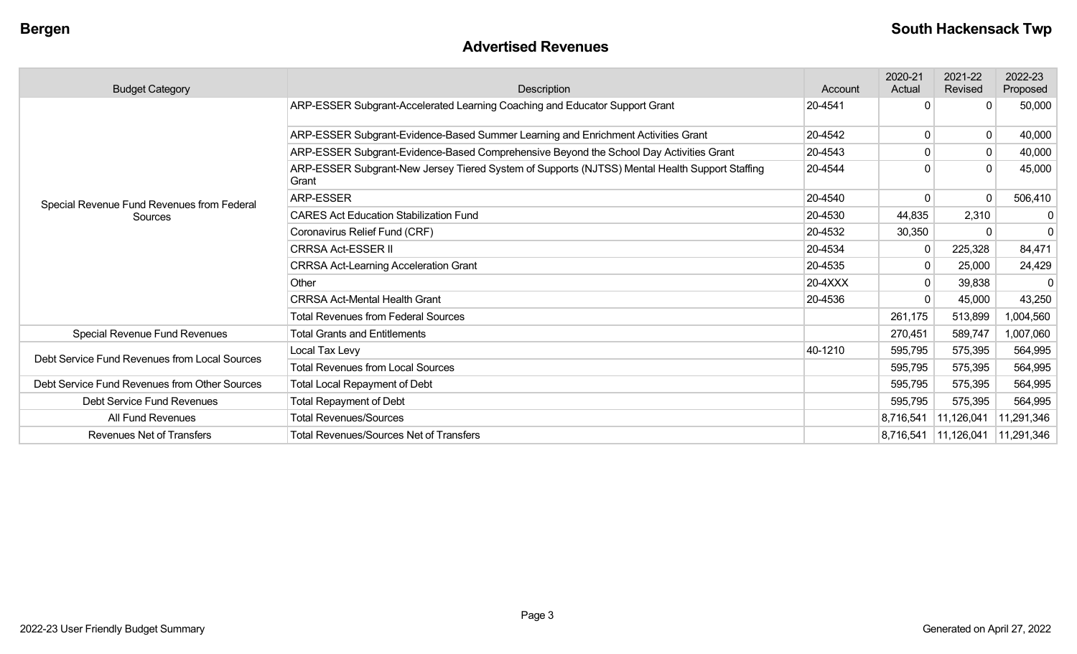## **Advertised Revenues**

| <b>Budget Category</b>                        | Description                                                                                             | Account | 2020-21<br>Actual | 2021-22<br>Revised     | 2022-23<br>Proposed |
|-----------------------------------------------|---------------------------------------------------------------------------------------------------------|---------|-------------------|------------------------|---------------------|
|                                               | ARP-ESSER Subgrant-Accelerated Learning Coaching and Educator Support Grant                             | 20-4541 | O                 | $\Omega$               | 50,000              |
|                                               | ARP-ESSER Subgrant-Evidence-Based Summer Learning and Enrichment Activities Grant                       | 20-4542 | $\mathbf{0}$      | 0                      | 40,000              |
|                                               | ARP-ESSER Subgrant-Evidence-Based Comprehensive Beyond the School Day Activities Grant                  | 20-4543 | 0                 | $\mathbf 0$            | 40,000              |
|                                               | ARP-ESSER Subgrant-New Jersey Tiered System of Supports (NJTSS) Mental Health Support Staffing<br>Grant | 20-4544 |                   | $\Omega$               | 45,000              |
| Special Revenue Fund Revenues from Federal    | ARP-ESSER                                                                                               | 20-4540 | 0                 |                        | 506,410             |
| Sources                                       | <b>CARES Act Education Stabilization Fund</b>                                                           | 20-4530 | 44,835            | 2,310                  | $\mathbf{0}$        |
|                                               | Coronavirus Relief Fund (CRF)                                                                           |         | 30,350            | $\Omega$               | $\mathbf{0}$        |
|                                               | <b>CRRSA Act-ESSER II</b>                                                                               | 20-4534 | $\Omega$          | 225,328                | 84,471              |
|                                               | <b>CRRSA Act-Learning Acceleration Grant</b>                                                            | 20-4535 | $\mathbf{0}$      | 25,000                 | 24,429              |
|                                               | Other                                                                                                   | 20-4XXX | $\mathbf{0}$      | 39,838                 |                     |
|                                               | <b>CRRSA Act-Mental Health Grant</b>                                                                    | 20-4536 | $\Omega$          | 45,000                 | 43,250              |
|                                               | <b>Total Revenues from Federal Sources</b>                                                              |         | 261,175           | 513,899                | 1,004,560           |
| Special Revenue Fund Revenues                 | <b>Total Grants and Entitlements</b>                                                                    |         | 270,451           | 589,747                | ,007,060            |
|                                               | Local Tax Levy                                                                                          | 40-1210 | 595,795           | 575,395                | 564,995             |
| Debt Service Fund Revenues from Local Sources | <b>Total Revenues from Local Sources</b>                                                                |         | 595,795           | 575,395                | 564,995             |
| Debt Service Fund Revenues from Other Sources | <b>Total Local Repayment of Debt</b>                                                                    |         | 595,795           | 575,395                | 564,995             |
| Debt Service Fund Revenues                    | <b>Total Repayment of Debt</b>                                                                          |         | 595,795           | 575,395                | 564,995             |
| All Fund Revenues                             | <b>Total Revenues/Sources</b>                                                                           |         | 8,716,541         | 11,126,041             | 11,291,346          |
| <b>Revenues Net of Transfers</b>              | <b>Total Revenues/Sources Net of Transfers</b>                                                          |         |                   | 8,716,541   11,126,041 | 11,291,346          |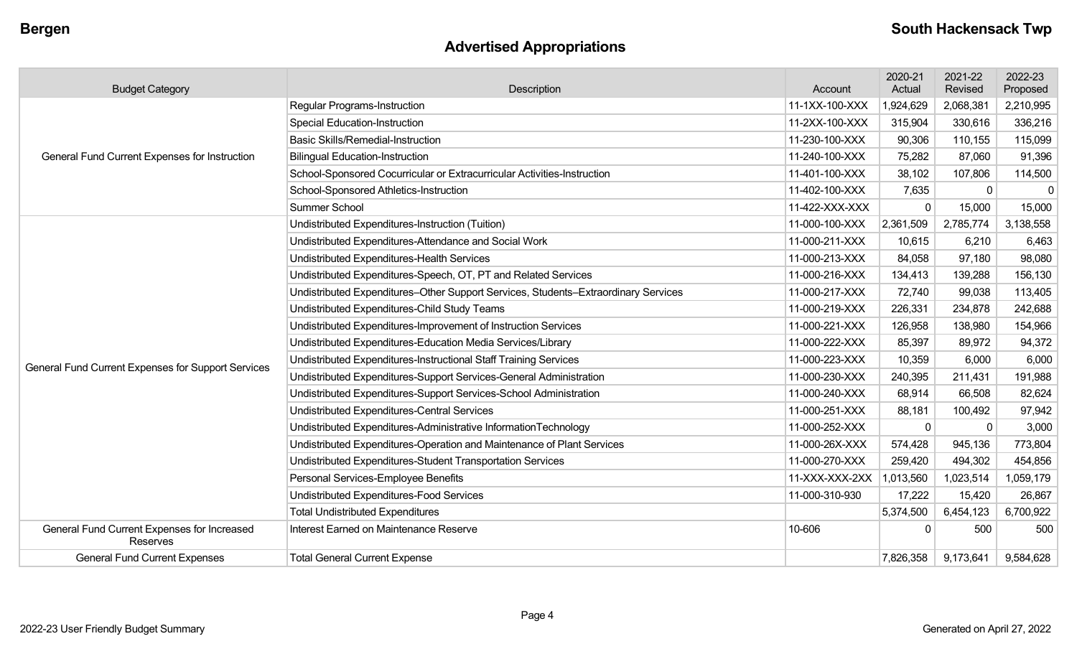# **Advertised Appropriations**

| <b>Budget Category</b>                                  | Description                                                                        | Account        | 2020-21<br>Actual | 2021-22<br>Revised | 2022-23<br>Proposed |
|---------------------------------------------------------|------------------------------------------------------------------------------------|----------------|-------------------|--------------------|---------------------|
|                                                         | Regular Programs-Instruction                                                       | 11-1XX-100-XXX | 1,924,629         | 2,068,381          | 2,210,995           |
|                                                         | <b>Special Education-Instruction</b>                                               | 11-2XX-100-XXX | 315,904           | 330,616            | 336,216             |
|                                                         | <b>Basic Skills/Remedial-Instruction</b>                                           | 11-230-100-XXX | 90,306            | 110,155            | 115,099             |
| General Fund Current Expenses for Instruction           | <b>Bilingual Education-Instruction</b>                                             | 11-240-100-XXX | 75,282            | 87,060             | 91,396              |
|                                                         | School-Sponsored Cocurricular or Extracurricular Activities-Instruction            | 11-401-100-XXX | 38,102            | 107,806            | 114,500             |
|                                                         | School-Sponsored Athletics-Instruction                                             | 11-402-100-XXX | 7,635             | $\mathbf 0$        | $\mathbf 0$         |
|                                                         | Summer School                                                                      | 11-422-XXX-XXX |                   | 15,000             | 15,000              |
|                                                         | Undistributed Expenditures-Instruction (Tuition)                                   | 11-000-100-XXX | 2,361,509         | 2,785,774          | 3,138,558           |
|                                                         | Undistributed Expenditures-Attendance and Social Work                              | 11-000-211-XXX | 10,615            | 6,210              | 6,463               |
|                                                         | Undistributed Expenditures-Health Services                                         | 11-000-213-XXX | 84,058            | 97,180             | 98,080              |
|                                                         | Undistributed Expenditures-Speech, OT, PT and Related Services                     | 11-000-216-XXX | 134,413           | 139,288            | 156,130             |
|                                                         | Undistributed Expenditures-Other Support Services, Students-Extraordinary Services | 11-000-217-XXX | 72,740            | 99,038             | 113,405             |
|                                                         | Undistributed Expenditures-Child Study Teams                                       | 11-000-219-XXX | 226,331           | 234,878            | 242,688             |
|                                                         | Undistributed Expenditures-Improvement of Instruction Services                     | 11-000-221-XXX | 126,958           | 138,980            | 154,966             |
|                                                         | Undistributed Expenditures-Education Media Services/Library                        | 11-000-222-XXX | 85,397            | 89,972             | 94,372              |
| General Fund Current Expenses for Support Services      | Undistributed Expenditures-Instructional Staff Training Services                   | 11-000-223-XXX | 10,359            | 6,000              | 6,000               |
|                                                         | Undistributed Expenditures-Support Services-General Administration                 | 11-000-230-XXX | 240,395           | 211,431            | 191,988             |
|                                                         | Undistributed Expenditures-Support Services-School Administration                  | 11-000-240-XXX | 68,914            | 66,508             | 82,624              |
|                                                         | Undistributed Expenditures-Central Services                                        | 11-000-251-XXX | 88,181            | 100,492            | 97,942              |
|                                                         | Undistributed Expenditures-Administrative InformationTechnology                    | 11-000-252-XXX | 0                 | 0                  | 3,000               |
|                                                         | Undistributed Expenditures-Operation and Maintenance of Plant Services             | 11-000-26X-XXX | 574,428           | 945,136            | 773,804             |
|                                                         | Undistributed Expenditures-Student Transportation Services                         | 11-000-270-XXX | 259,420           | 494,302            | 454,856             |
|                                                         | Personal Services-Employee Benefits                                                | 11-XXX-XXX-2XX | 1,013,560         | 1,023,514          | 1,059,179           |
|                                                         | Undistributed Expenditures-Food Services                                           | 11-000-310-930 | 17,222            | 15,420             | 26,867              |
|                                                         | <b>Total Undistributed Expenditures</b>                                            |                | 5,374,500         | 6,454,123          | 6,700,922           |
| General Fund Current Expenses for Increased<br>Reserves | Interest Earned on Maintenance Reserve                                             | 10-606         | $\Omega$          | 500                | 500                 |
| <b>General Fund Current Expenses</b>                    | <b>Total General Current Expense</b>                                               |                | 7,826,358         | 9,173,641          | 9,584,628           |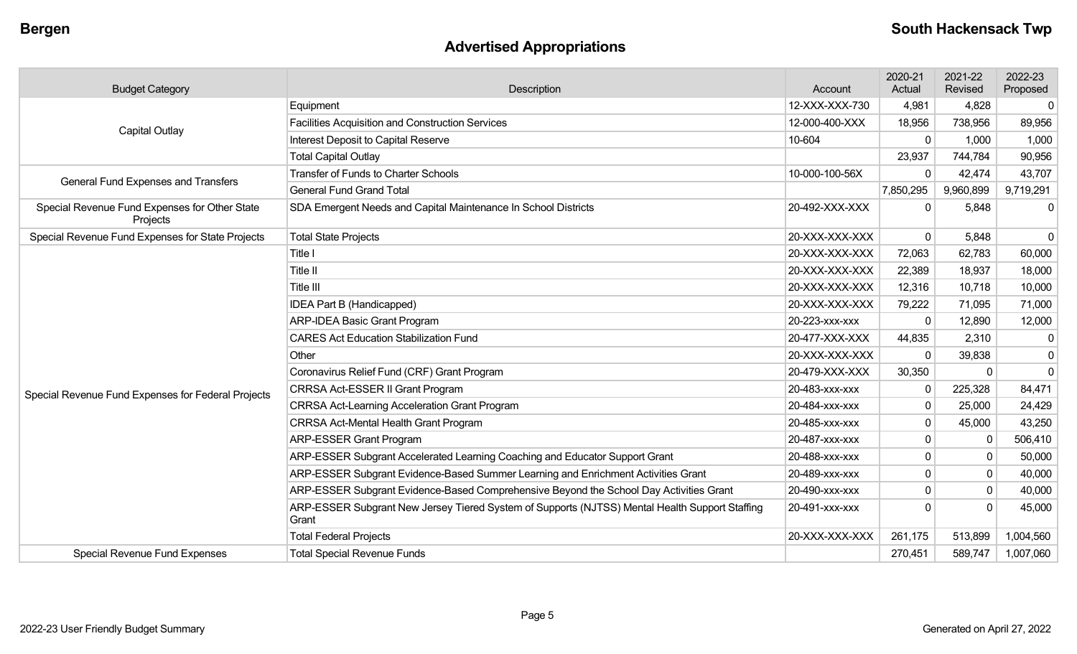# **Advertised Appropriations**

| <b>Budget Category</b>                                    | Description                                                                                             | Account        | 2020-21<br>Actual | 2021-22<br>Revised | 2022-23<br>Proposed |
|-----------------------------------------------------------|---------------------------------------------------------------------------------------------------------|----------------|-------------------|--------------------|---------------------|
|                                                           | Equipment                                                                                               | 12-XXX-XXX-730 | 4,981             | 4,828              | $\overline{0}$      |
| <b>Capital Outlay</b>                                     | <b>Facilities Acquisition and Construction Services</b>                                                 | 12-000-400-XXX | 18,956            | 738,956            | 89,956              |
|                                                           | Interest Deposit to Capital Reserve                                                                     | 10-604         | $\mathbf 0$       | 1,000              | 1,000               |
|                                                           | <b>Total Capital Outlay</b>                                                                             |                | 23,937            | 744,784            | 90,956              |
| General Fund Expenses and Transfers                       | <b>Transfer of Funds to Charter Schools</b>                                                             | 10-000-100-56X | 0                 | 42,474             | 43,707              |
|                                                           | <b>General Fund Grand Total</b>                                                                         |                | 7,850,295         | 9,960,899          | 9,719,291           |
| Special Revenue Fund Expenses for Other State<br>Projects | SDA Emergent Needs and Capital Maintenance In School Districts                                          | 20-492-XXX-XXX | $\Omega$          | 5,848              | $\overline{0}$      |
| Special Revenue Fund Expenses for State Projects          | <b>Total State Projects</b>                                                                             | 20-XXX-XXX-XXX | $\Omega$          | 5,848              | $\overline{0}$      |
|                                                           | Title I                                                                                                 | 20-XXX-XXX-XXX | 72,063            | 62,783             | 60,000              |
|                                                           | Title II                                                                                                | 20-XXX-XXX-XXX | 22,389            | 18,937             | 18,000              |
|                                                           | <b>Title III</b>                                                                                        | 20-XXX-XXX-XXX | 12,316            | 10,718             | 10,000              |
|                                                           | <b>IDEA Part B (Handicapped)</b>                                                                        | 20-XXX-XXX-XXX | 79,222            | 71,095             | 71,000              |
|                                                           | <b>ARP-IDEA Basic Grant Program</b>                                                                     | 20-223-xxx-xxx | $\mathbf 0$       | 12,890             | 12,000              |
|                                                           | <b>CARES Act Education Stabilization Fund</b>                                                           | 20-477-XXX-XXX | 44,835            | 2,310              | $\mathbf{0}$        |
|                                                           | Other                                                                                                   | 20-XXX-XXX-XXX | $\Omega$          | 39,838             | $\mathbf 0$         |
|                                                           | Coronavirus Relief Fund (CRF) Grant Program                                                             | 20-479-XXX-XXX | 30,350            | 0                  | $\mathbf 0$         |
| Special Revenue Fund Expenses for Federal Projects        | CRRSA Act-ESSER II Grant Program                                                                        | 20-483-xxx-xxx | $\Omega$          | 225,328            | 84,471              |
|                                                           | <b>CRRSA Act-Learning Acceleration Grant Program</b>                                                    | 20-484-xxx-xxx | $\Omega$          | 25,000             | 24,429              |
|                                                           | <b>CRRSA Act-Mental Health Grant Program</b>                                                            | 20-485-XXX-XXX | $\mathbf 0$       | 45,000             | 43,250              |
|                                                           | <b>ARP-ESSER Grant Program</b>                                                                          | 20-487-xxx-xxx | $\mathbf{0}$      | <sup>0</sup>       | 506,410             |
|                                                           | ARP-ESSER Subgrant Accelerated Learning Coaching and Educator Support Grant                             | 20-488-XXX-XXX | $\Omega$          | $\Omega$           | 50,000              |
|                                                           | ARP-ESSER Subgrant Evidence-Based Summer Learning and Enrichment Activities Grant                       | 20-489-xxx-xxx | $\mathbf 0$       | $\mathbf{0}$       | 40,000              |
|                                                           | ARP-ESSER Subgrant Evidence-Based Comprehensive Beyond the School Day Activities Grant                  | 20-490-xxx-xxx | $\overline{0}$    | $\mathbf{0}$       | 40,000              |
|                                                           | ARP-ESSER Subgrant New Jersey Tiered System of Supports (NJTSS) Mental Health Support Staffing<br>Grant | 20-491-XXX-XXX | $\Omega$          | $\Omega$           | 45,000              |
|                                                           | <b>Total Federal Projects</b>                                                                           | 20-XXX-XXX-XXX | 261,175           | 513,899            | 1,004,560           |
| Special Revenue Fund Expenses                             | <b>Total Special Revenue Funds</b>                                                                      |                | 270,451           | 589,747            | 1,007,060           |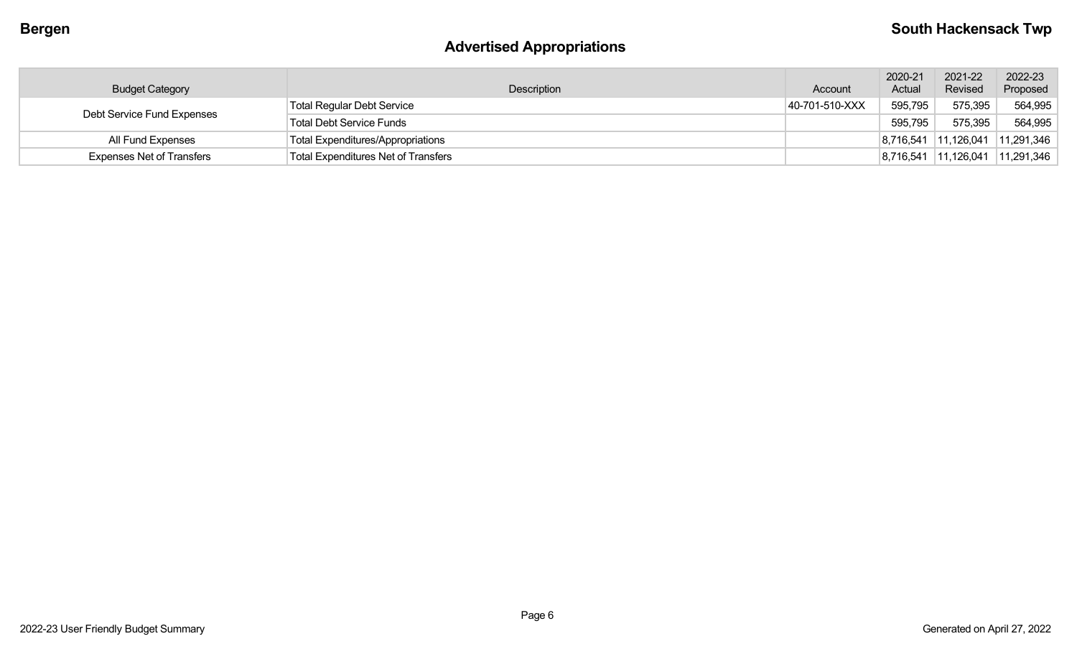# **Advertised Appropriations**

| <b>Budget Category</b>           | Description                                | Account        | 2020-21<br>Actual | 2021-22<br>Revised | 2022-23<br>Proposed |
|----------------------------------|--------------------------------------------|----------------|-------------------|--------------------|---------------------|
| Debt Service Fund Expenses       | <b>Total Regular Debt Service</b>          | 40-701-510-XXX | 595,795           | 575,395            | 564,995             |
|                                  | <b>Total Debt Service Funds</b>            |                | 595,795           | 575,395            | 564,995             |
| All Fund Expenses                | <b>Total Expenditures/Appropriations</b>   |                | 8,716,541         | 11,126,041         | 11,291,346          |
| <b>Expenses Net of Transfers</b> | <b>Total Expenditures Net of Transfers</b> |                | 8,716,541         | 11,126,041         | 11,291,346          |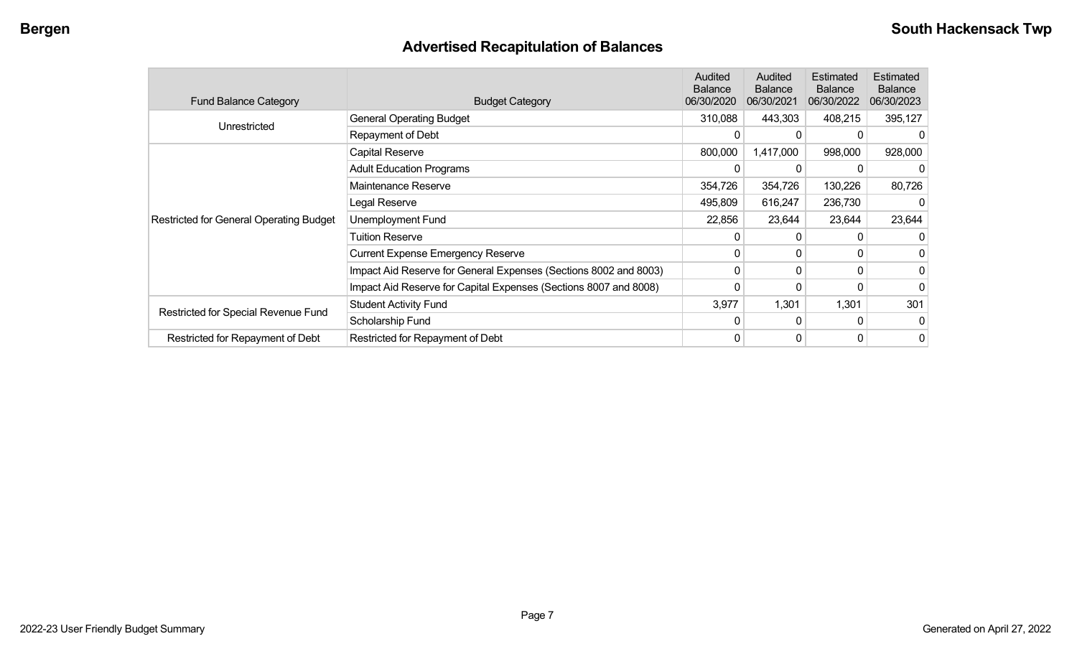# **Advertised Recapitulation of Balances**

| <b>Fund Balance Category</b>                   | <b>Budget Category</b>                                           | <b>Audited</b><br><b>Balance</b><br>06/30/2020 | Audited<br><b>Balance</b><br>06/30/2021  | <b>Estimated</b><br><b>Balance</b><br>06/30/2022 | Estimated<br><b>Balance</b><br>06/30/2023 |
|------------------------------------------------|------------------------------------------------------------------|------------------------------------------------|------------------------------------------|--------------------------------------------------|-------------------------------------------|
|                                                | <b>General Operating Budget</b>                                  | 310,088                                        | 443,303                                  | 408,215                                          | 395,127                                   |
| Unrestricted                                   | Repayment of Debt                                                | 0                                              | 0                                        | 0                                                |                                           |
|                                                | Capital Reserve                                                  | 800,000                                        | 1,417,000                                | 998,000                                          | 928,000                                   |
|                                                | <b>Adult Education Programs</b>                                  | 0                                              | 354,726<br>354,726<br>616,247<br>495,809 |                                                  |                                           |
|                                                | Maintenance Reserve                                              |                                                |                                          | 130,226                                          | 80,726                                    |
|                                                | Legal Reserve                                                    |                                                |                                          | 236,730                                          |                                           |
| <b>Restricted for General Operating Budget</b> | Unemployment Fund                                                | 22,856                                         | 23,644                                   | 23,644                                           | 23,644                                    |
|                                                | <b>Tuition Reserve</b>                                           | 0                                              |                                          |                                                  | 0                                         |
|                                                | <b>Current Expense Emergency Reserve</b>                         | $\Omega$                                       | $\Omega$                                 |                                                  | 0                                         |
|                                                | Impact Aid Reserve for General Expenses (Sections 8002 and 8003) | 0                                              | $\Omega$                                 | 0                                                | 0                                         |
|                                                | Impact Aid Reserve for Capital Expenses (Sections 8007 and 8008) | 0                                              |                                          |                                                  | 0                                         |
|                                                | <b>Student Activity Fund</b>                                     | 3,977                                          | 1,301                                    | 1,301                                            | 301                                       |
| Restricted for Special Revenue Fund            | Scholarship Fund                                                 | 0                                              | $\Omega$                                 | $\Omega$                                         | 0                                         |
| Restricted for Repayment of Debt               | Restricted for Repayment of Debt                                 | 0                                              | 0                                        | 0                                                | 0                                         |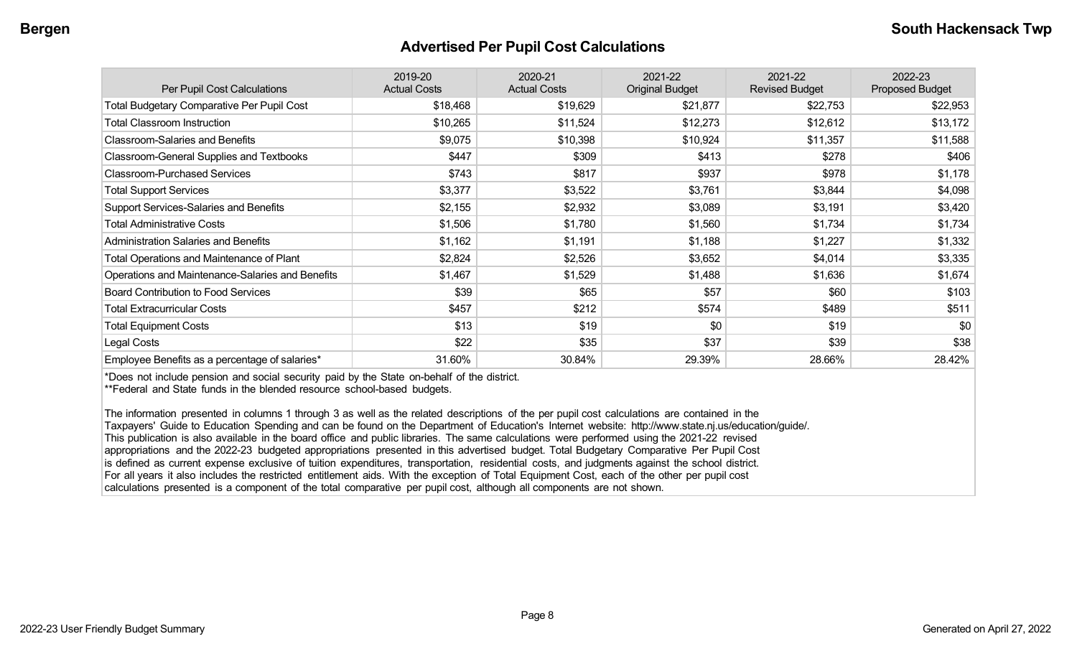#### **Advertised Per Pupil Cost Calculations**

| Per Pupil Cost Calculations                       | 2019-20<br><b>Actual Costs</b> | 2020-21<br><b>Actual Costs</b> | 2021-22<br><b>Original Budget</b> | 2021-22<br><b>Revised Budget</b> | 2022-23<br><b>Proposed Budget</b> |
|---------------------------------------------------|--------------------------------|--------------------------------|-----------------------------------|----------------------------------|-----------------------------------|
| <b>Total Budgetary Comparative Per Pupil Cost</b> | \$18,468                       | \$19,629                       | \$21,877                          | \$22,753                         | \$22,953                          |
| <b>Total Classroom Instruction</b>                | \$10,265                       | \$11,524                       | \$12,273                          | \$12,612                         | \$13,172                          |
| <b>Classroom-Salaries and Benefits</b>            | \$9,075                        | \$10,398                       | \$10,924                          | \$11,357                         | \$11,588                          |
| Classroom-General Supplies and Textbooks          | \$447                          | \$309                          | \$413                             | \$278                            | \$406                             |
| <b>Classroom-Purchased Services</b>               | \$743                          | \$817                          | \$937                             | \$978                            | \$1,178                           |
| <b>Total Support Services</b>                     | \$3,377                        | \$3,522                        | \$3,761                           | \$3,844                          | \$4,098                           |
| Support Services-Salaries and Benefits            | \$2,155                        | \$2,932                        | \$3,089                           | \$3,191                          | \$3,420                           |
| <b>Total Administrative Costs</b>                 | \$1,506                        | \$1,780                        | \$1,560                           | \$1,734                          | \$1,734                           |
| <b>Administration Salaries and Benefits</b>       | \$1,162                        | \$1,191                        | \$1,188                           | \$1,227                          | \$1,332                           |
| Total Operations and Maintenance of Plant         | \$2,824                        | \$2,526                        | \$3,652                           | \$4,014                          | \$3,335                           |
| Operations and Maintenance-Salaries and Benefits  | \$1,467                        | \$1,529                        | \$1,488                           | \$1,636                          | \$1,674                           |
| <b>Board Contribution to Food Services</b>        | \$39                           | \$65                           | \$57                              | \$60                             | \$103                             |
| <b>Total Extracurricular Costs</b>                | \$457                          | \$212                          | \$574                             | \$489                            | \$511                             |
| <b>Total Equipment Costs</b>                      | \$13                           | \$19                           | \$0                               | \$19                             | \$0                               |
| Legal Costs                                       | \$22                           | \$35                           | \$37                              | \$39                             | \$38                              |
| Employee Benefits as a percentage of salaries*    | 31.60%                         | 30.84%                         | 29.39%                            | 28.66%                           | 28.42%                            |

\*Does not include pension and social security paid by the State on-behalf of the district.

\*\*Federal and State funds in the blended resource school-based budgets.

The information presented in columns 1 through 3 as well as the related descriptions of the per pupil cost calculations are contained in the Taxpayers' Guide to Education Spending and can be found on the Department of Education's Internet website: http://www.state.nj.us/education/guide/. This publication is also available in the board office and public libraries. The same calculations were performed using the 2021-22 revised appropriations and the 2022-23 budgeted appropriations presented in this advertised budget. Total Budgetary Comparative Per Pupil Cost is defined as current expense exclusive of tuition expenditures, transportation, residential costs, and judgments against the school district. For all years it also includes the restricted entitlement aids. With the exception of Total Equipment Cost, each of the other per pupil cost calculations presented is a component of the total comparative per pupil cost, although all components are not shown.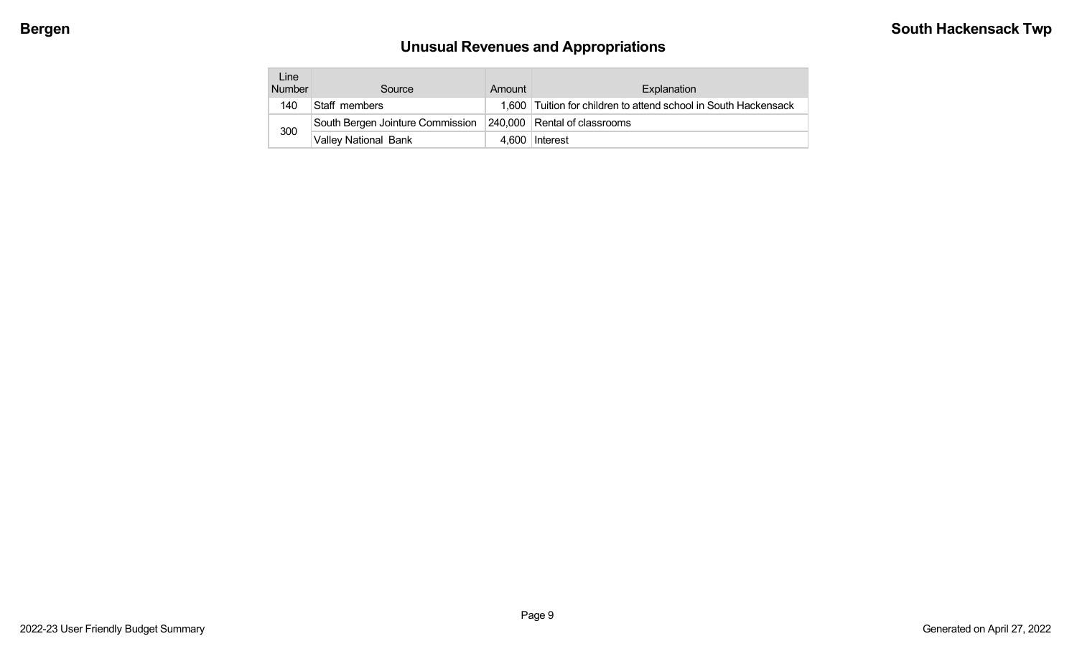# **Unusual Revenues and Appropriations**

| Line<br><b>Number</b> | Source                           | Amount | Explanation                                                     |
|-----------------------|----------------------------------|--------|-----------------------------------------------------------------|
| 140                   | Staff members                    |        | 1,600 Tuition for children to attend school in South Hackensack |
|                       | South Bergen Jointure Commission |        | 240,000 Rental of classrooms                                    |
| 300                   | <b>Valley National Bank</b>      |        | 4.600 Interest                                                  |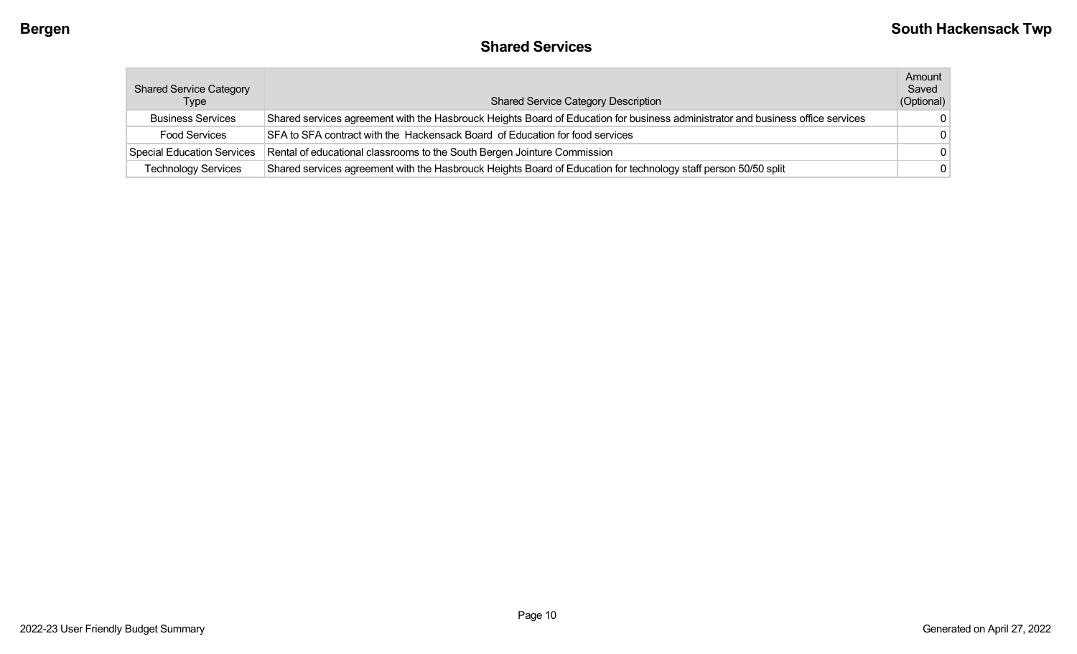## **Shared Services**

| <b>Shared Service Category</b><br><b>Type</b> | <b>Shared Service Category Description</b>                                                                                      | Amount<br>Saved<br>(Optional) |
|-----------------------------------------------|---------------------------------------------------------------------------------------------------------------------------------|-------------------------------|
| <b>Business Services</b>                      | Shared services agreement with the Hasbrouck Heights Board of Education for business administrator and business office services | $\Omega$                      |
| <b>Food Services</b>                          | SFA to SFA contract with the Hackensack Board of Education for food services                                                    | - 0                           |
| <b>Special Education Services</b>             | Rental of educational classrooms to the South Bergen Jointure Commission                                                        | $\Omega$                      |
| <b>Technology Services</b>                    | Shared services agreement with the Hasbrouck Heights Board of Education for technology staff person 50/50 split                 | $\Omega$                      |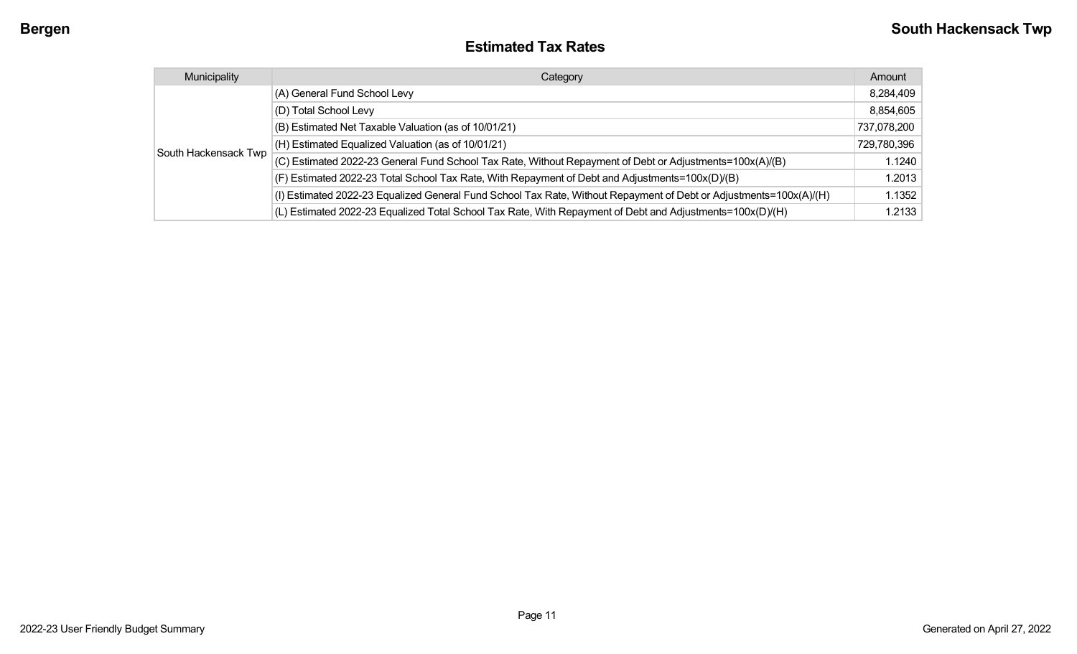| <b>Estimated Tax Rates</b> |  |
|----------------------------|--|
|----------------------------|--|

| Municipality         | Category                                                                                                           | Amount      |
|----------------------|--------------------------------------------------------------------------------------------------------------------|-------------|
|                      | (A) General Fund School Levy                                                                                       | 8,284,409   |
|                      | (D) Total School Levy                                                                                              | 8,854,605   |
|                      | (B) Estimated Net Taxable Valuation (as of 10/01/21)                                                               | 737,078,200 |
|                      | (H) Estimated Equalized Valuation (as of 10/01/21)                                                                 | 729,780,396 |
| South Hackensack Twp | (C) Estimated 2022-23 General Fund School Tax Rate, Without Repayment of Debt or Adjustments=100x(A)/(B)           | 1.1240      |
|                      | (F) Estimated 2022-23 Total School Tax Rate, With Repayment of Debt and Adjustments=100x(D)/(B)                    | 1.2013      |
|                      | (I) Estimated 2022-23 Equalized General Fund School Tax Rate, Without Repayment of Debt or Adjustments=100x(A)/(H) | 1.1352      |
|                      | (L) Estimated 2022-23 Equalized Total School Tax Rate, With Repayment of Debt and Adjustments=100x(D)/(H)          | 1.2133      |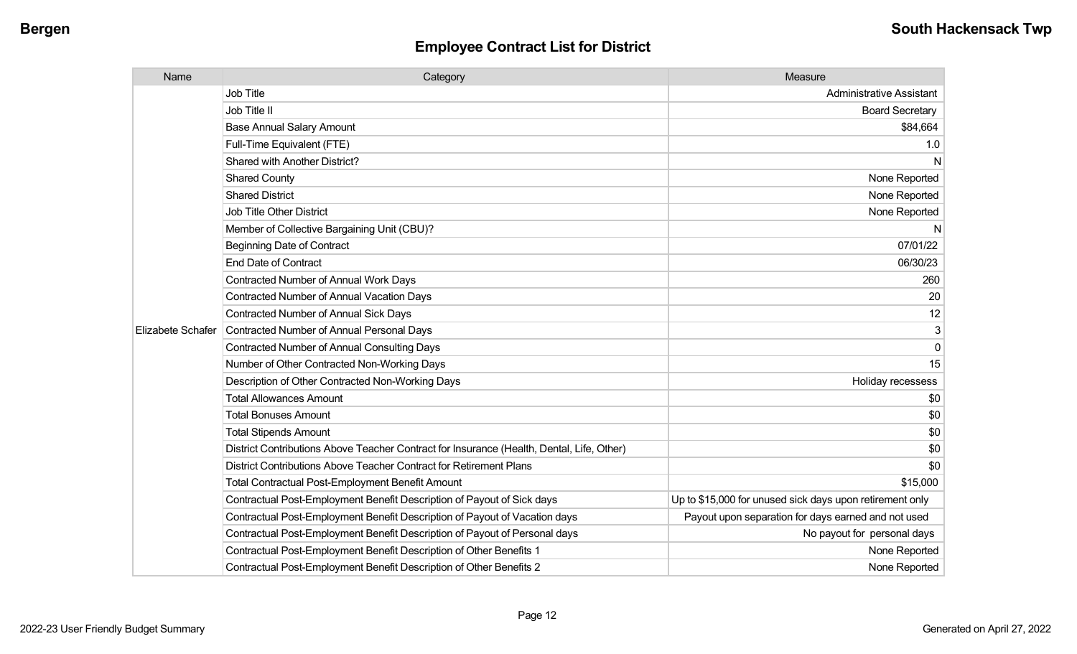| Name              | Category                                                                                  | Measure                                                  |
|-------------------|-------------------------------------------------------------------------------------------|----------------------------------------------------------|
|                   | <b>Job Title</b>                                                                          | <b>Administrative Assistant</b>                          |
|                   | Job Title II                                                                              | <b>Board Secretary</b>                                   |
|                   | <b>Base Annual Salary Amount</b>                                                          | \$84,664                                                 |
|                   | Full-Time Equivalent (FTE)                                                                | 1.0                                                      |
|                   | Shared with Another District?                                                             | N                                                        |
|                   | <b>Shared County</b>                                                                      | None Reported                                            |
|                   | <b>Shared District</b>                                                                    | None Reported                                            |
|                   | <b>Job Title Other District</b>                                                           | None Reported                                            |
|                   | Member of Collective Bargaining Unit (CBU)?                                               | N                                                        |
|                   | <b>Beginning Date of Contract</b>                                                         | 07/01/22                                                 |
|                   | <b>End Date of Contract</b>                                                               | 06/30/23                                                 |
|                   | Contracted Number of Annual Work Days                                                     | 260                                                      |
|                   | <b>Contracted Number of Annual Vacation Days</b>                                          | 20                                                       |
|                   | <b>Contracted Number of Annual Sick Days</b>                                              | 12                                                       |
| Elizabete Schafer | Contracted Number of Annual Personal Days                                                 | 3                                                        |
|                   | <b>Contracted Number of Annual Consulting Days</b>                                        | $\mathbf{0}$                                             |
|                   | Number of Other Contracted Non-Working Days                                               | 15                                                       |
|                   | Description of Other Contracted Non-Working Days                                          | Holiday recessess                                        |
|                   | <b>Total Allowances Amount</b>                                                            | \$0                                                      |
|                   | <b>Total Bonuses Amount</b>                                                               | \$0                                                      |
|                   | <b>Total Stipends Amount</b>                                                              | \$0                                                      |
|                   | District Contributions Above Teacher Contract for Insurance (Health, Dental, Life, Other) | \$0                                                      |
|                   | District Contributions Above Teacher Contract for Retirement Plans                        | \$0                                                      |
|                   | <b>Total Contractual Post-Employment Benefit Amount</b>                                   | \$15,000                                                 |
|                   | Contractual Post-Employment Benefit Description of Payout of Sick days                    | Up to \$15,000 for unused sick days upon retirement only |
|                   | Contractual Post-Employment Benefit Description of Payout of Vacation days                | Payout upon separation for days earned and not used      |
|                   | Contractual Post-Employment Benefit Description of Payout of Personal days                | No payout for personal days                              |
|                   | Contractual Post-Employment Benefit Description of Other Benefits 1                       | None Reported                                            |
|                   | Contractual Post-Employment Benefit Description of Other Benefits 2                       | None Reported                                            |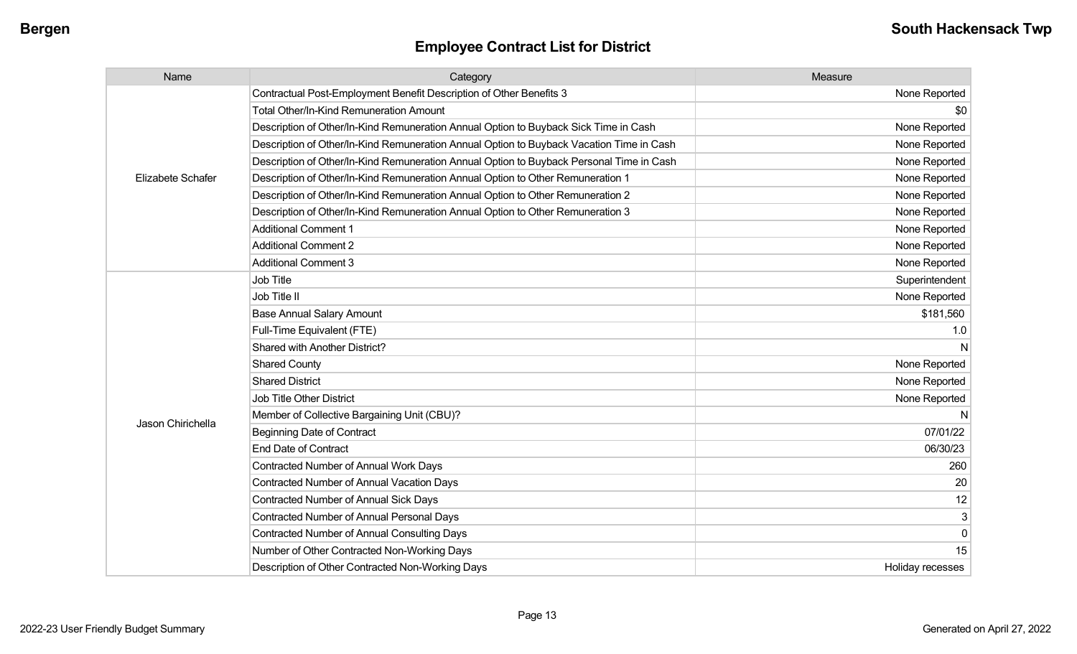| Name              | Category                                                                                 | Measure          |
|-------------------|------------------------------------------------------------------------------------------|------------------|
|                   | Contractual Post-Employment Benefit Description of Other Benefits 3                      | None Reported    |
|                   | <b>Total Other/In-Kind Remuneration Amount</b>                                           | \$0              |
|                   | Description of Other/In-Kind Remuneration Annual Option to Buyback Sick Time in Cash     | None Reported    |
|                   | Description of Other/In-Kind Remuneration Annual Option to Buyback Vacation Time in Cash | None Reported    |
|                   | Description of Other/In-Kind Remuneration Annual Option to Buyback Personal Time in Cash | None Reported    |
| Elizabete Schafer | Description of Other/In-Kind Remuneration Annual Option to Other Remuneration 1          | None Reported    |
|                   | Description of Other/In-Kind Remuneration Annual Option to Other Remuneration 2          | None Reported    |
|                   | Description of Other/In-Kind Remuneration Annual Option to Other Remuneration 3          | None Reported    |
|                   | <b>Additional Comment 1</b>                                                              | None Reported    |
|                   | <b>Additional Comment 2</b>                                                              | None Reported    |
|                   | <b>Additional Comment 3</b>                                                              | None Reported    |
|                   | Job Title                                                                                | Superintendent   |
|                   | Job Title II                                                                             | None Reported    |
|                   | <b>Base Annual Salary Amount</b>                                                         | \$181,560        |
|                   | Full-Time Equivalent (FTE)                                                               | 1.0              |
|                   | <b>Shared with Another District?</b>                                                     | N                |
|                   | <b>Shared County</b>                                                                     | None Reported    |
|                   | <b>Shared District</b>                                                                   | None Reported    |
|                   | <b>Job Title Other District</b>                                                          | None Reported    |
| Jason Chirichella | Member of Collective Bargaining Unit (CBU)?                                              | N                |
|                   | <b>Beginning Date of Contract</b>                                                        | 07/01/22         |
|                   | <b>End Date of Contract</b>                                                              | 06/30/23         |
|                   | <b>Contracted Number of Annual Work Days</b>                                             | 260              |
|                   | <b>Contracted Number of Annual Vacation Days</b>                                         | 20               |
|                   | <b>Contracted Number of Annual Sick Days</b>                                             | 12               |
|                   | Contracted Number of Annual Personal Days                                                | 3                |
|                   | <b>Contracted Number of Annual Consulting Days</b>                                       | $\mathbf 0$      |
|                   | Number of Other Contracted Non-Working Days                                              | 15               |
|                   | Description of Other Contracted Non-Working Days                                         | Holiday recesses |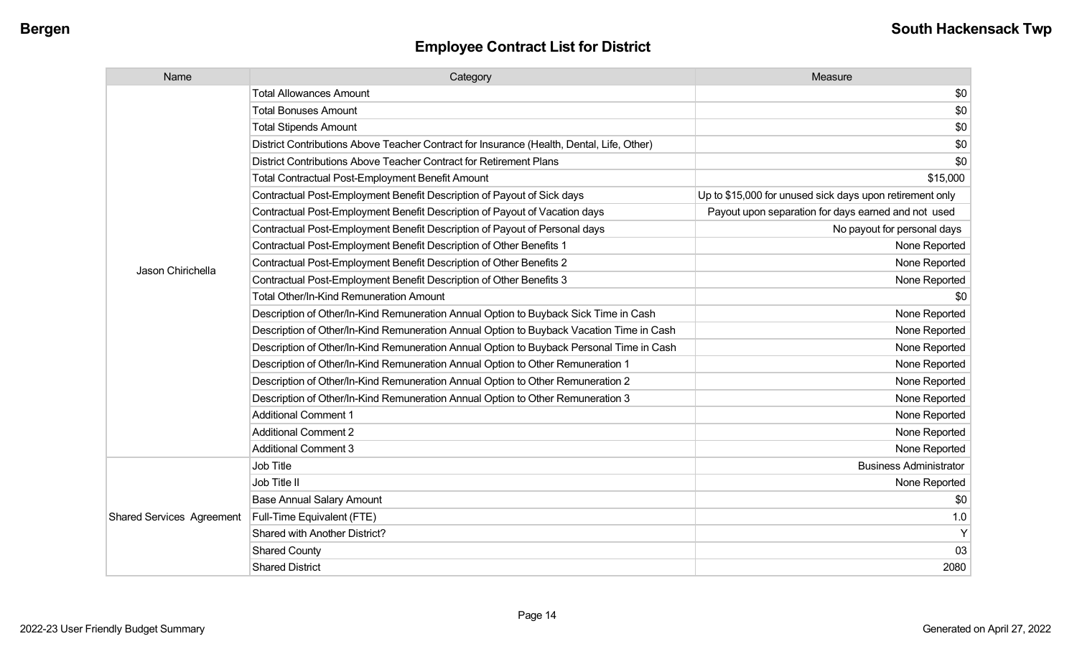| Name                             | Category                                                                                  | Measure                                                  |
|----------------------------------|-------------------------------------------------------------------------------------------|----------------------------------------------------------|
|                                  | <b>Total Allowances Amount</b>                                                            | \$0                                                      |
|                                  | <b>Total Bonuses Amount</b>                                                               | \$0                                                      |
|                                  | <b>Total Stipends Amount</b>                                                              | \$0                                                      |
|                                  | District Contributions Above Teacher Contract for Insurance (Health, Dental, Life, Other) | \$0                                                      |
|                                  | District Contributions Above Teacher Contract for Retirement Plans                        | \$0                                                      |
|                                  | <b>Total Contractual Post-Employment Benefit Amount</b>                                   | \$15,000                                                 |
|                                  | Contractual Post-Employment Benefit Description of Payout of Sick days                    | Up to \$15,000 for unused sick days upon retirement only |
|                                  | Contractual Post-Employment Benefit Description of Payout of Vacation days                | Payout upon separation for days earned and not used      |
|                                  | Contractual Post-Employment Benefit Description of Payout of Personal days                | No payout for personal days                              |
|                                  | Contractual Post-Employment Benefit Description of Other Benefits 1                       | None Reported                                            |
| Jason Chirichella                | Contractual Post-Employment Benefit Description of Other Benefits 2                       | None Reported                                            |
|                                  | Contractual Post-Employment Benefit Description of Other Benefits 3                       | None Reported                                            |
|                                  | <b>Total Other/In-Kind Remuneration Amount</b>                                            | \$0                                                      |
|                                  | Description of Other/In-Kind Remuneration Annual Option to Buyback Sick Time in Cash      | None Reported                                            |
|                                  | Description of Other/In-Kind Remuneration Annual Option to Buyback Vacation Time in Cash  | None Reported                                            |
|                                  | Description of Other/In-Kind Remuneration Annual Option to Buyback Personal Time in Cash  | None Reported                                            |
|                                  | Description of Other/In-Kind Remuneration Annual Option to Other Remuneration 1           | None Reported                                            |
|                                  | Description of Other/In-Kind Remuneration Annual Option to Other Remuneration 2           | None Reported                                            |
|                                  | Description of Other/In-Kind Remuneration Annual Option to Other Remuneration 3           | None Reported                                            |
|                                  | <b>Additional Comment 1</b>                                                               | None Reported                                            |
|                                  | <b>Additional Comment 2</b>                                                               | None Reported                                            |
|                                  | <b>Additional Comment 3</b>                                                               | None Reported                                            |
|                                  | Job Title                                                                                 | <b>Business Administrator</b>                            |
|                                  | Job Title II                                                                              | None Reported                                            |
|                                  | <b>Base Annual Salary Amount</b>                                                          | \$0                                                      |
| <b>Shared Services Agreement</b> | Full-Time Equivalent (FTE)                                                                | 1.0                                                      |
|                                  | Shared with Another District?                                                             | Y                                                        |
|                                  | <b>Shared County</b>                                                                      | 03                                                       |
|                                  | <b>Shared District</b>                                                                    | 2080                                                     |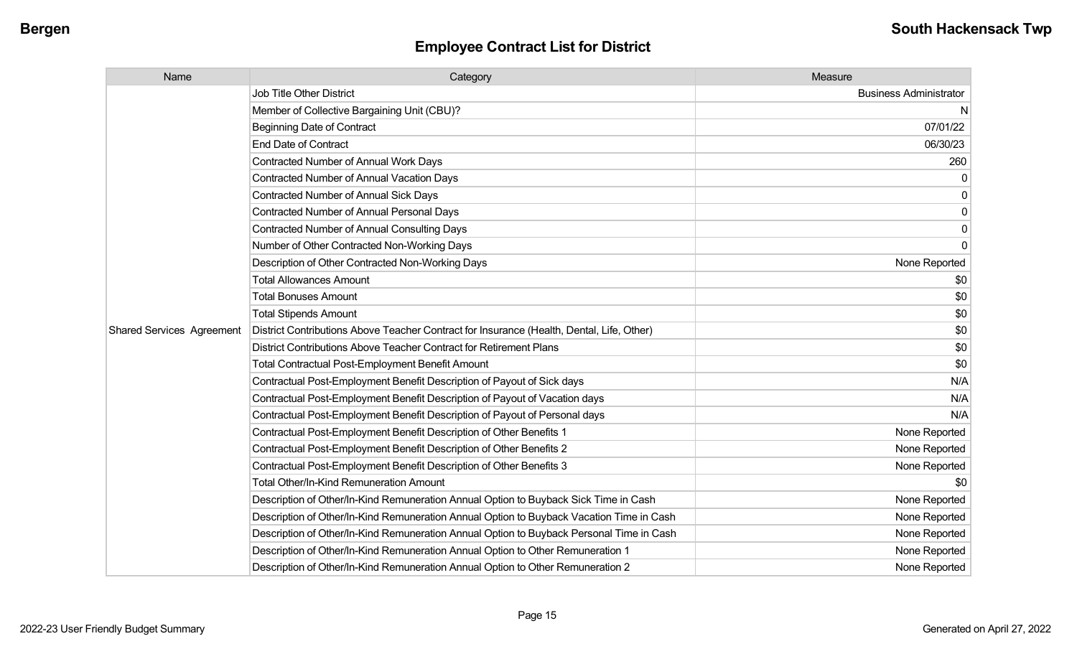| Name                             | Category                                                                                  | Measure                       |
|----------------------------------|-------------------------------------------------------------------------------------------|-------------------------------|
|                                  | <b>Job Title Other District</b>                                                           | <b>Business Administrator</b> |
|                                  | Member of Collective Bargaining Unit (CBU)?                                               | N                             |
|                                  | <b>Beginning Date of Contract</b>                                                         | 07/01/22                      |
|                                  | <b>End Date of Contract</b>                                                               | 06/30/23                      |
|                                  | Contracted Number of Annual Work Days                                                     | 260                           |
|                                  | <b>Contracted Number of Annual Vacation Days</b>                                          |                               |
|                                  | <b>Contracted Number of Annual Sick Days</b>                                              | 0                             |
|                                  | Contracted Number of Annual Personal Days                                                 | 0                             |
|                                  | Contracted Number of Annual Consulting Days                                               | $\mathbf{0}$                  |
|                                  | Number of Other Contracted Non-Working Days                                               | $\Omega$                      |
|                                  | Description of Other Contracted Non-Working Days                                          | None Reported                 |
|                                  | <b>Total Allowances Amount</b>                                                            | \$0                           |
|                                  | <b>Total Bonuses Amount</b>                                                               | \$0                           |
|                                  | <b>Total Stipends Amount</b>                                                              | \$0                           |
| <b>Shared Services Agreement</b> | District Contributions Above Teacher Contract for Insurance (Health, Dental, Life, Other) | \$0                           |
|                                  | District Contributions Above Teacher Contract for Retirement Plans                        | \$0                           |
|                                  | <b>Total Contractual Post-Employment Benefit Amount</b>                                   | \$0                           |
|                                  | Contractual Post-Employment Benefit Description of Payout of Sick days                    | N/A                           |
|                                  | Contractual Post-Employment Benefit Description of Payout of Vacation days                | N/A                           |
|                                  | Contractual Post-Employment Benefit Description of Payout of Personal days                | N/A                           |
|                                  | Contractual Post-Employment Benefit Description of Other Benefits 1                       | None Reported                 |
|                                  | Contractual Post-Employment Benefit Description of Other Benefits 2                       | None Reported                 |
|                                  | Contractual Post-Employment Benefit Description of Other Benefits 3                       | None Reported                 |
|                                  | Total Other/In-Kind Remuneration Amount                                                   | \$0                           |
|                                  | Description of Other/In-Kind Remuneration Annual Option to Buyback Sick Time in Cash      | None Reported                 |
|                                  | Description of Other/In-Kind Remuneration Annual Option to Buyback Vacation Time in Cash  | None Reported                 |
|                                  | Description of Other/In-Kind Remuneration Annual Option to Buyback Personal Time in Cash  | None Reported                 |
|                                  | Description of Other/In-Kind Remuneration Annual Option to Other Remuneration 1           | None Reported                 |
|                                  | Description of Other/In-Kind Remuneration Annual Option to Other Remuneration 2           | None Reported                 |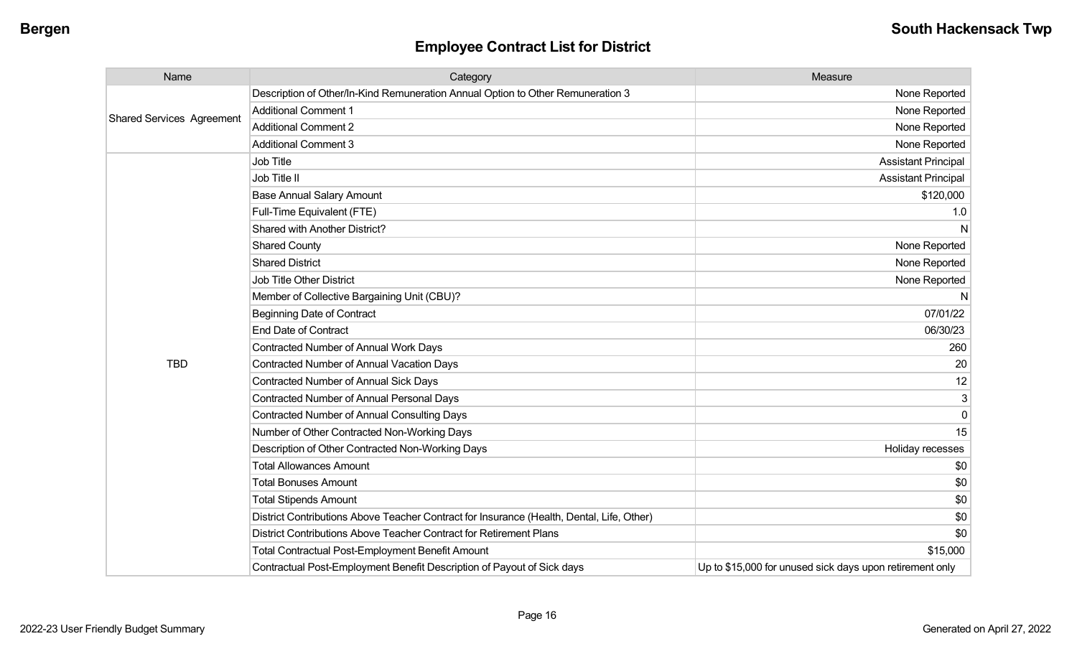| Name                             | Category                                                                                  | Measure                                                  |
|----------------------------------|-------------------------------------------------------------------------------------------|----------------------------------------------------------|
| <b>Shared Services Agreement</b> | Description of Other/In-Kind Remuneration Annual Option to Other Remuneration 3           | None Reported                                            |
|                                  | <b>Additional Comment 1</b>                                                               | None Reported                                            |
|                                  | <b>Additional Comment 2</b>                                                               | None Reported                                            |
|                                  | <b>Additional Comment 3</b>                                                               | None Reported                                            |
|                                  | Job Title                                                                                 | <b>Assistant Principal</b>                               |
|                                  | Job Title II                                                                              | <b>Assistant Principal</b>                               |
|                                  | <b>Base Annual Salary Amount</b>                                                          | \$120,000                                                |
|                                  | Full-Time Equivalent (FTE)                                                                | 1.0                                                      |
|                                  | Shared with Another District?                                                             | N                                                        |
|                                  | <b>Shared County</b>                                                                      | None Reported                                            |
|                                  | <b>Shared District</b>                                                                    | None Reported                                            |
|                                  | <b>Job Title Other District</b>                                                           | None Reported                                            |
|                                  | Member of Collective Bargaining Unit (CBU)?                                               | N                                                        |
|                                  | <b>Beginning Date of Contract</b>                                                         | 07/01/22                                                 |
|                                  | <b>End Date of Contract</b>                                                               | 06/30/23                                                 |
|                                  | Contracted Number of Annual Work Days                                                     | 260                                                      |
| <b>TBD</b>                       | Contracted Number of Annual Vacation Days                                                 | 20                                                       |
|                                  | Contracted Number of Annual Sick Days                                                     | 12                                                       |
|                                  | <b>Contracted Number of Annual Personal Days</b>                                          | 3                                                        |
|                                  | <b>Contracted Number of Annual Consulting Days</b>                                        | $\Omega$                                                 |
|                                  | Number of Other Contracted Non-Working Days                                               | 15                                                       |
|                                  | Description of Other Contracted Non-Working Days                                          | Holiday recesses                                         |
|                                  | <b>Total Allowances Amount</b>                                                            | \$0                                                      |
|                                  | <b>Total Bonuses Amount</b>                                                               | \$0                                                      |
|                                  | <b>Total Stipends Amount</b>                                                              | \$0                                                      |
|                                  | District Contributions Above Teacher Contract for Insurance (Health, Dental, Life, Other) | \$0                                                      |
|                                  | District Contributions Above Teacher Contract for Retirement Plans                        | \$0                                                      |
|                                  | <b>Total Contractual Post-Employment Benefit Amount</b>                                   | \$15,000                                                 |
|                                  | Contractual Post-Employment Benefit Description of Payout of Sick days                    | Up to \$15,000 for unused sick days upon retirement only |